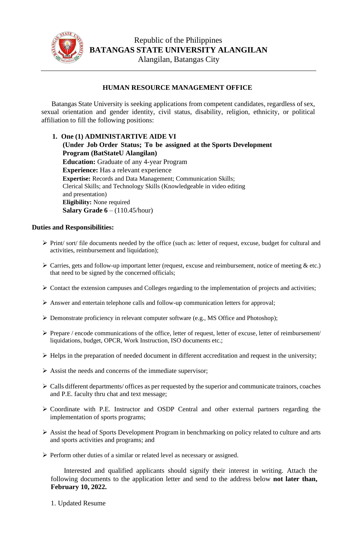

## **HUMAN RESOURCE MANAGEMENT OFFICE**

Batangas State University is seeking applications from competent candidates, regardless of sex, sexual orientation and gender identity, civil status, disability, religion, ethnicity, or political affiliation to fill the following positions:

**1. One (1) ADMINISTARTIVE AIDE VI (Under Job Order Status; To be assigned at the Sports Development Program (BatStateU Alangilan) Education:** Graduate of any 4-year Program **Experience:** Has a relevant experience **Expertise:** Records and Data Management; Communication Skills; Clerical Skills; and Technology Skills (Knowledgeable in video editing and presentation) **Eligibility:** None required **Salary Grade 6** – (110.45/hour)

## **Duties and Responsibilities:**

- ➢ Print/ sort/ file documents needed by the office (such as: letter of request, excuse, budget for cultural and activities, reimbursement and liquidation);
- $\triangleright$  Carries, gets and follow-up important letter (request, excuse and reimbursement, notice of meeting  $\&$  etc.) that need to be signed by the concerned officials;
- $\triangleright$  Contact the extension campuses and Colleges regarding to the implementation of projects and activities;
- ➢ Answer and entertain telephone calls and follow-up communication letters for approval;
- ➢ Demonstrate proficiency in relevant computer software (e.g., MS Office and Photoshop);
- $\triangleright$  Prepare / encode communications of the office, letter of request, letter of excuse, letter of reimbursement/ liquidations, budget, OPCR, Work Instruction, ISO documents etc.;
- $\triangleright$  Helps in the preparation of needed document in different accreditation and request in the university;
- $\triangleright$  Assist the needs and concerns of the immediate supervisor;
- ➢ Calls different departments/ offices as per requested by the superior and communicate trainors, coaches and P.E. faculty thru chat and text message;
- ➢ Coordinate with P.E. Instructor and OSDP Central and other external partners regarding the implementation of sports programs;
- ➢ Assist the head of Sports Development Program in benchmarking on policy related to culture and arts and sports activities and programs; and
- ➢ Perform other duties of a similar or related level as necessary or assigned.

Interested and qualified applicants should signify their interest in writing. Attach the following documents to the application letter and send to the address below **not later than, February 10, 2022.**

1. Updated Resume